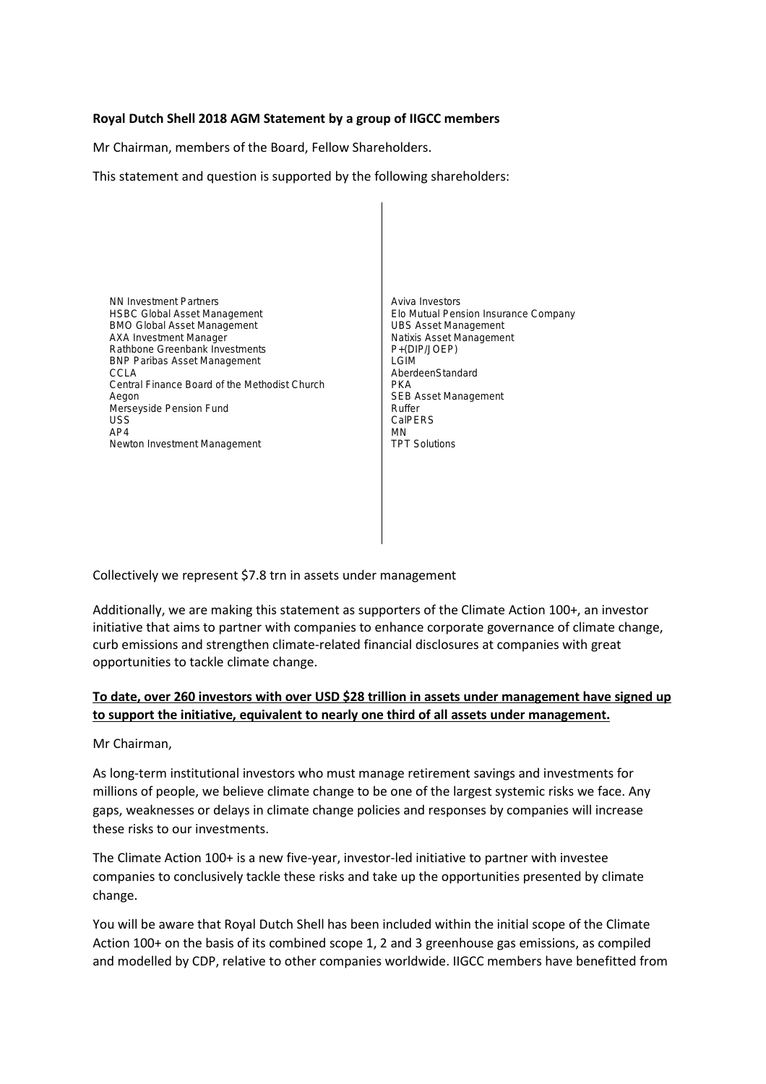## **Royal Dutch Shell 2018 AGM Statement by a group of IIGCC members**

Mr Chairman, members of the Board, Fellow Shareholders.

This statement and question is supported by the following shareholders:

NN Investment Partners HSBC Global Asset Management BMO Global Asset Management AXA Investment Manager Rathbone Greenbank Investments BNP Paribas Asset Management CCLA Central Finance Board of the Methodist Church Aegon Merseyside Pension Fund USS AP4 Newton Investment Management

Aviva Investors Elo Mutual Pension Insurance Company UBS Asset Management Natixis Asset Management P+(DIP/JOEP) LGIM AberdeenStandard PKA SEB Asset Management Ruffer **CalPERS** MN TPT Solutions

Collectively we represent \$7.8 trn in assets under management

Additionally, we are making this statement as supporters of the Climate Action 100+, an investor initiative that aims to partner with companies to enhance corporate governance of climate change, curb emissions and strengthen climate-related financial disclosures at companies with great opportunities to tackle climate change.

## **To date, over 260 investors with over USD \$28 trillion in assets under management have signed up to support the initiative, equivalent to nearly one third of all assets under management.**

Mr Chairman,

As long-term institutional investors who must manage retirement savings and investments for millions of people, we believe climate change to be one of the largest systemic risks we face. Any gaps, weaknesses or delays in climate change policies and responses by companies will increase these risks to our investments.

The Climate Action 100+ is a new five-year, investor-led initiative to partner with investee companies to conclusively tackle these risks and take up the opportunities presented by climate change.

You will be aware that Royal Dutch Shell has been included within the initial scope of the Climate Action 100+ on the basis of its combined scope 1, 2 and 3 greenhouse gas emissions, as compiled and modelled by CDP, relative to other companies worldwide. IIGCC members have benefitted from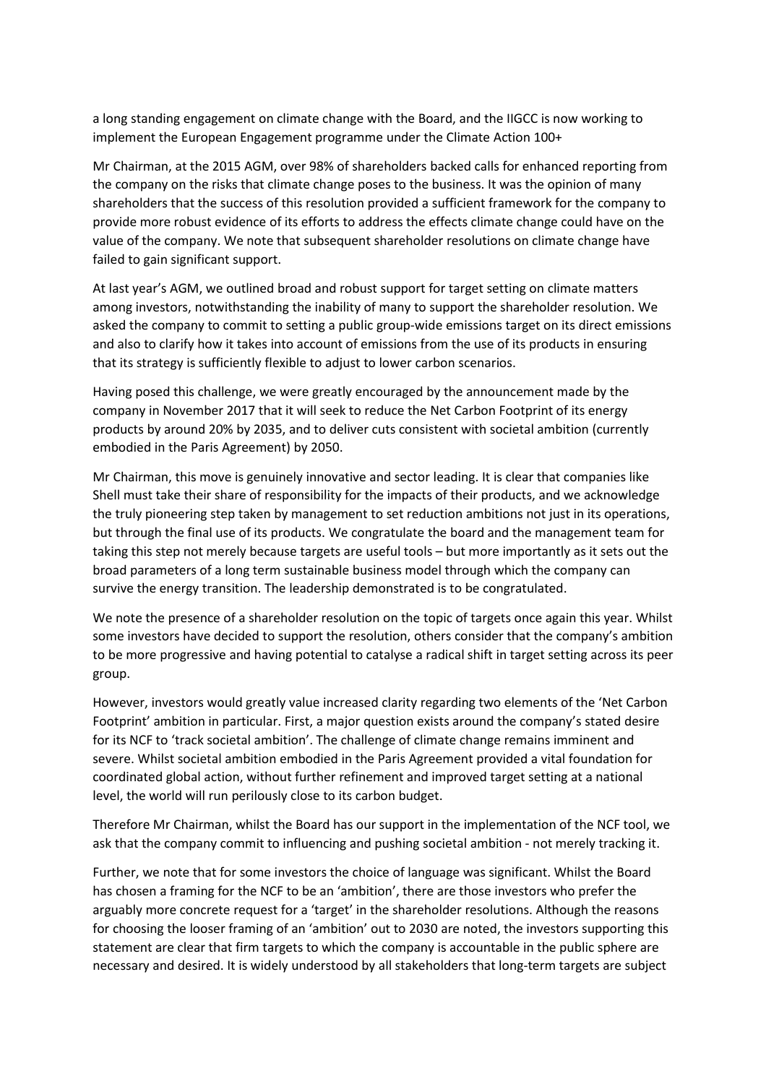a long standing engagement on climate change with the Board, and the IIGCC is now working to implement the European Engagement programme under the Climate Action 100+

Mr Chairman, at the 2015 AGM, over 98% of shareholders backed calls for enhanced reporting from the company on the risks that climate change poses to the business. It was the opinion of many shareholders that the success of this resolution provided a sufficient framework for the company to provide more robust evidence of its efforts to address the effects climate change could have on the value of the company. We note that subsequent shareholder resolutions on climate change have failed to gain significant support.

At last year's AGM, we outlined broad and robust support for target setting on climate matters among investors, notwithstanding the inability of many to support the shareholder resolution. We asked the company to commit to setting a public group-wide emissions target on its direct emissions and also to clarify how it takes into account of emissions from the use of its products in ensuring that its strategy is sufficiently flexible to adjust to lower carbon scenarios.

Having posed this challenge, we were greatly encouraged by the announcement made by the company in November 2017 that it will seek to reduce the Net Carbon Footprint of its energy products by around 20% by 2035, and to deliver cuts consistent with societal ambition (currently embodied in the Paris Agreement) by 2050.

Mr Chairman, this move is genuinely innovative and sector leading. It is clear that companies like Shell must take their share of responsibility for the impacts of their products, and we acknowledge the truly pioneering step taken by management to set reduction ambitions not just in its operations, but through the final use of its products. We congratulate the board and the management team for taking this step not merely because targets are useful tools – but more importantly as it sets out the broad parameters of a long term sustainable business model through which the company can survive the energy transition. The leadership demonstrated is to be congratulated.

We note the presence of a shareholder resolution on the topic of targets once again this year. Whilst some investors have decided to support the resolution, others consider that the company's ambition to be more progressive and having potential to catalyse a radical shift in target setting across its peer group.

However, investors would greatly value increased clarity regarding two elements of the 'Net Carbon Footprint' ambition in particular. First, a major question exists around the company's stated desire for its NCF to 'track societal ambition'. The challenge of climate change remains imminent and severe. Whilst societal ambition embodied in the Paris Agreement provided a vital foundation for coordinated global action, without further refinement and improved target setting at a national level, the world will run perilously close to its carbon budget.

Therefore Mr Chairman, whilst the Board has our support in the implementation of the NCF tool, we ask that the company commit to influencing and pushing societal ambition - not merely tracking it.

Further, we note that for some investors the choice of language was significant. Whilst the Board has chosen a framing for the NCF to be an 'ambition', there are those investors who prefer the arguably more concrete request for a 'target' in the shareholder resolutions. Although the reasons for choosing the looser framing of an 'ambition' out to 2030 are noted, the investors supporting this statement are clear that firm targets to which the company is accountable in the public sphere are necessary and desired. It is widely understood by all stakeholders that long-term targets are subject